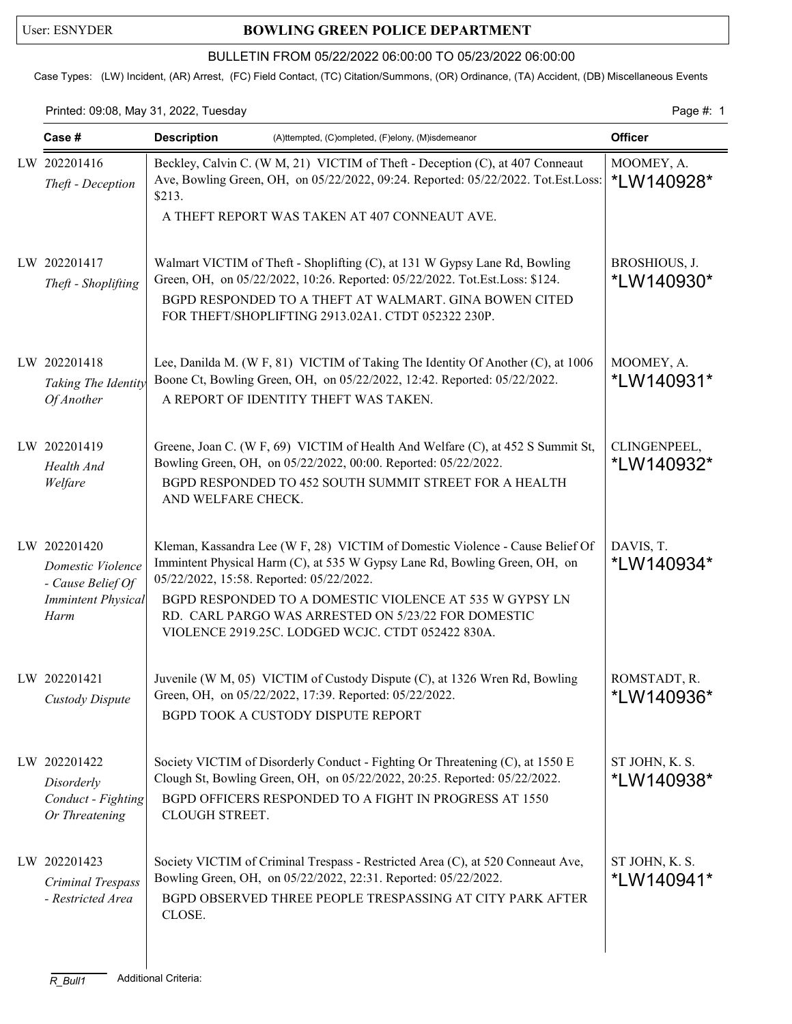## User: ESNYDER **BOWLING GREEN POLICE DEPARTMENT**

## BULLETIN FROM 05/22/2022 06:00:00 TO 05/23/2022 06:00:00

Case Types: (LW) Incident, (AR) Arrest, (FC) Field Contact, (TC) Citation/Summons, (OR) Ordinance, (TA) Accident, (DB) Miscellaneous Events

Printed: 09:08, May 31, 2022, Tuesday Page #: 1

| Case #                                                                                      | <b>Description</b><br>(A)ttempted, (C)ompleted, (F)elony, (M)isdemeanor                                                                                                                                                                                                                                                                                                        | <b>Officer</b>                   |
|---------------------------------------------------------------------------------------------|--------------------------------------------------------------------------------------------------------------------------------------------------------------------------------------------------------------------------------------------------------------------------------------------------------------------------------------------------------------------------------|----------------------------------|
| LW 202201416<br>Theft - Deception                                                           | Beckley, Calvin C. (W M, 21) VICTIM of Theft - Deception (C), at 407 Conneaut<br>Ave, Bowling Green, OH, on 05/22/2022, 09:24. Reported: 05/22/2022. Tot.Est.Loss:<br>\$213.<br>A THEFT REPORT WAS TAKEN AT 407 CONNEAUT AVE.                                                                                                                                                  | MOOMEY, A.<br><i>*</i> LW140928* |
| LW 202201417<br>Theft - Shoplifting                                                         | Walmart VICTIM of Theft - Shoplifting (C), at 131 W Gypsy Lane Rd, Bowling<br>Green, OH, on 05/22/2022, 10:26. Reported: 05/22/2022. Tot.Est.Loss: \$124.<br>BGPD RESPONDED TO A THEFT AT WALMART. GINA BOWEN CITED<br>FOR THEFT/SHOPLIFTING 2913.02A1. CTDT 052322 230P.                                                                                                      | BROSHIOUS, J.<br>*LW140930*      |
| LW 202201418<br>Taking The Identity<br>Of Another                                           | Lee, Danilda M. (W F, 81) VICTIM of Taking The Identity Of Another (C), at 1006<br>Boone Ct, Bowling Green, OH, on 05/22/2022, 12:42. Reported: 05/22/2022.<br>A REPORT OF IDENTITY THEFT WAS TAKEN.                                                                                                                                                                           | MOOMEY, A.<br>*LW140931*         |
| LW 202201419<br>Health And<br>Welfare                                                       | Greene, Joan C. (W F, 69) VICTIM of Health And Welfare (C), at 452 S Summit St,<br>Bowling Green, OH, on 05/22/2022, 00:00. Reported: 05/22/2022.<br>BGPD RESPONDED TO 452 SOUTH SUMMIT STREET FOR A HEALTH<br>AND WELFARE CHECK.                                                                                                                                              | CLINGENPEEL,<br>*LW140932*       |
| LW 202201420<br>Domestic Violence<br>- Cause Belief Of<br><b>Immintent Physical</b><br>Harm | Kleman, Kassandra Lee (W F, 28) VICTIM of Domestic Violence - Cause Belief Of<br>Immintent Physical Harm (C), at 535 W Gypsy Lane Rd, Bowling Green, OH, on<br>05/22/2022, 15:58. Reported: 05/22/2022.<br>BGPD RESPONDED TO A DOMESTIC VIOLENCE AT 535 W GYPSY LN<br>RD. CARL PARGO WAS ARRESTED ON 5/23/22 FOR DOMESTIC<br>VIOLENCE 2919.25C. LODGED WCJC. CTDT 052422 830A. | DAVIS, T.<br>*LW140934*          |
| LW 202201421<br>Custody Dispute                                                             | Juvenile (W M, 05) VICTIM of Custody Dispute (C), at 1326 Wren Rd, Bowling<br>Green, OH, on 05/22/2022, 17:39. Reported: 05/22/2022.<br>BGPD TOOK A CUSTODY DISPUTE REPORT                                                                                                                                                                                                     | ROMSTADT, R.<br>*LW140936*       |
| LW 202201422<br>Disorderly<br>Conduct - Fighting<br>Or Threatening                          | Society VICTIM of Disorderly Conduct - Fighting Or Threatening (C), at 1550 E<br>Clough St, Bowling Green, OH, on 05/22/2022, 20:25. Reported: 05/22/2022.<br>BGPD OFFICERS RESPONDED TO A FIGHT IN PROGRESS AT 1550<br>CLOUGH STREET.                                                                                                                                         | ST JOHN, K. S.<br>*LW140938*     |
| LW 202201423<br>Criminal Trespass<br>- Restricted Area                                      | Society VICTIM of Criminal Trespass - Restricted Area (C), at 520 Conneaut Ave,<br>Bowling Green, OH, on 05/22/2022, 22:31. Reported: 05/22/2022.<br>BGPD OBSERVED THREE PEOPLE TRESPASSING AT CITY PARK AFTER<br>CLOSE.                                                                                                                                                       | ST JOHN, K. S.<br>*LW140941*     |